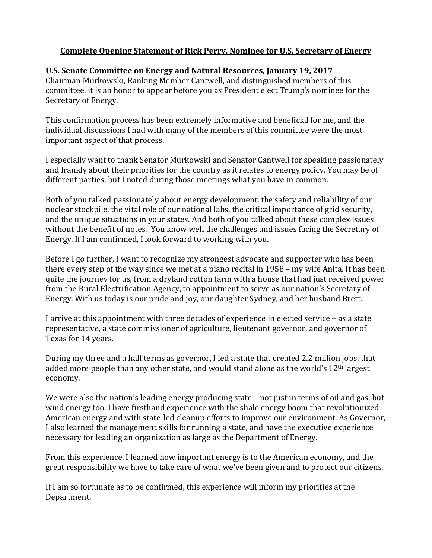## **Complete Opening Statement of Rick Perry, Nominee for U.S. Secretary of Energy**

## **U.S. Senate Committee on Energy and Natural Resources, January 19, 2017**

Chairman Murkowski, Ranking Member Cantwell, and distinguished members of this committee, it is an honor to appear before you as President elect Trump's nominee for the Secretary of Energy.

This confirmation process has been extremely informative and beneficial for me, and the individual discussions I had with many of the members of this committee were the most important aspect of that process.

I especially want to thank Senator Murkowski and Senator Cantwell for speaking passionately and frankly about their priorities for the country as it relates to energy policy. You may be of different parties, but I noted during those meetings what you have in common.

Both of you talked passionately about energy development, the safety and reliability of our nuclear stockpile, the vital role of our national labs, the critical importance of grid security, and the unique situations in your states. And both of you talked about these complex issues without the benefit of notes. You know well the challenges and issues facing the Secretary of Energy. If I am confirmed, I look forward to working with you.

Before I go further, I want to recognize my strongest advocate and supporter who has been there every step of the way since we met at a piano recital in 1958 – my wife Anita. It has been quite the journey for us, from a dryland cotton farm with a house that had just received power from the Rural Electrification Agency, to appointment to serve as our nation's Secretary of Energy. With us today is our pride and joy, our daughter Sydney, and her husband Brett.

I arrive at this appointment with three decades of experience in elected service – as a state representative, a state commissioner of agriculture, lieutenant governor, and governor of Texas for 14 years.

During my three and a half terms as governor, I led a state that created 2.2 million jobs, that added more people than any other state, and would stand alone as the world's 12<sup>th</sup> largest economy.

We were also the nation's leading energy producing state – not just in terms of oil and gas, but wind energy too. I have firsthand experience with the shale energy boom that revolutionized American energy and with state-led cleanup efforts to improve our environment. As Governor, I also learned the management skills for running a state, and have the executive experience necessary for leading an organization as large as the Department of Energy.

From this experience, I learned how important energy is to the American economy, and the great responsibility we have to take care of what we've been given and to protect our citizens.

If I am so fortunate as to be confirmed, this experience will inform my priorities at the Department.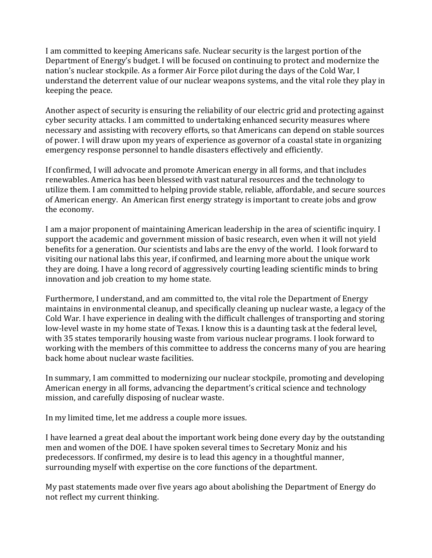I am committed to keeping Americans safe. Nuclear security is the largest portion of the Department of Energy's budget. I will be focused on continuing to protect and modernize the nation's nuclear stockpile. As a former Air Force pilot during the days of the Cold War, I understand the deterrent value of our nuclear weapons systems, and the vital role they play in keeping the peace.

Another aspect of security is ensuring the reliability of our electric grid and protecting against cyber security attacks. I am committed to undertaking enhanced security measures where necessary and assisting with recovery efforts, so that Americans can depend on stable sources of power. I will draw upon my years of experience as governor of a coastal state in organizing emergency response personnel to handle disasters effectively and efficiently.

If confirmed, I will advocate and promote American energy in all forms, and that includes renewables. America has been blessed with vast natural resources and the technology to utilize them. I am committed to helping provide stable, reliable, affordable, and secure sources of American energy. An American first energy strategy is important to create jobs and grow the economy.

I am a major proponent of maintaining American leadership in the area of scientific inquiry. I support the academic and government mission of basic research, even when it will not yield benefits for a generation. Our scientists and labs are the envy of the world. I look forward to visiting our national labs this year, if confirmed, and learning more about the unique work they are doing. I have a long record of aggressively courting leading scientific minds to bring innovation and job creation to my home state.

Furthermore, I understand, and am committed to, the vital role the Department of Energy maintains in environmental cleanup, and specifically cleaning up nuclear waste, a legacy of the Cold War. I have experience in dealing with the difficult challenges of transporting and storing low-level waste in my home state of Texas. I know this is a daunting task at the federal level, with 35 states temporarily housing waste from various nuclear programs. I look forward to working with the members of this committee to address the concerns many of you are hearing back home about nuclear waste facilities.

In summary, I am committed to modernizing our nuclear stockpile, promoting and developing American energy in all forms, advancing the department's critical science and technology mission, and carefully disposing of nuclear waste.

In my limited time, let me address a couple more issues.

I have learned a great deal about the important work being done every day by the outstanding men and women of the DOE. I have spoken several times to Secretary Moniz and his predecessors. If confirmed, my desire is to lead this agency in a thoughtful manner, surrounding myself with expertise on the core functions of the department.

My past statements made over five years ago about abolishing the Department of Energy do not reflect my current thinking.